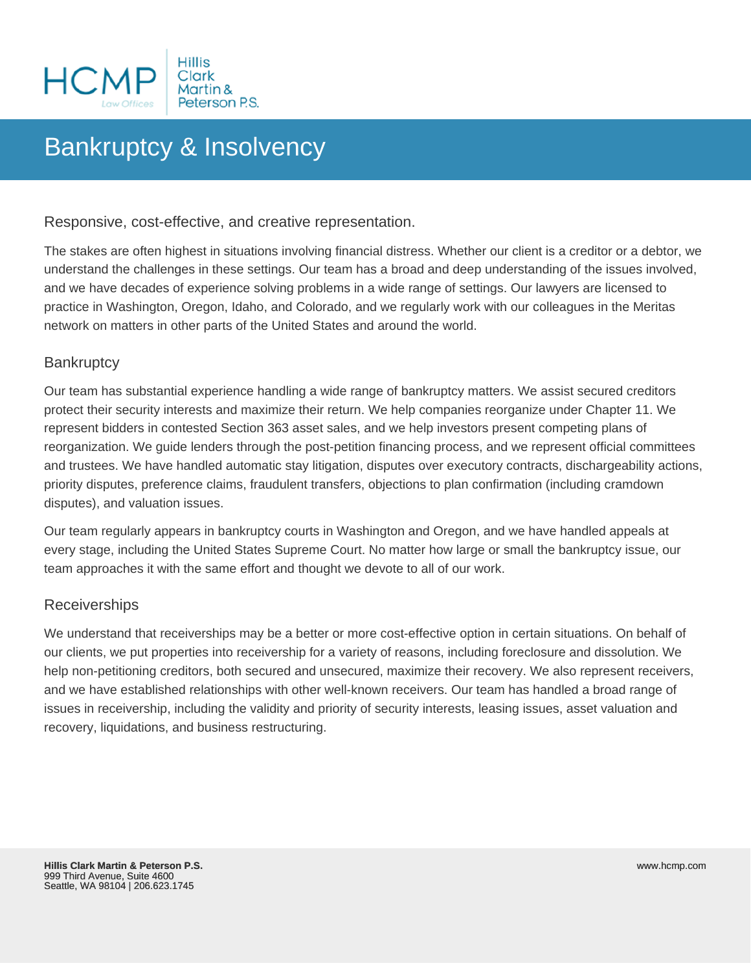

# Bankruptcy & Insolvency

# Responsive, cost-effective, and creative representation.

The stakes are often highest in situations involving financial distress. Whether our client is a creditor or a debtor, we understand the challenges in these settings. Our team has a broad and deep understanding of the issues involved, and we have decades of experience solving problems in a wide range of settings. Our lawyers are licensed to practice in Washington, Oregon, Idaho, and Colorado, and we regularly work with our colleagues in the Meritas network on matters in other parts of the United States and around the world.

#### **Bankruptcy**

Our team has substantial experience handling a wide range of bankruptcy matters. We assist secured creditors protect their security interests and maximize their return. We help companies reorganize under Chapter 11. We represent bidders in contested Section 363 asset sales, and we help investors present competing plans of reorganization. We guide lenders through the post-petition financing process, and we represent official committees and trustees. We have handled automatic stay litigation, disputes over executory contracts, dischargeability actions, priority disputes, preference claims, fraudulent transfers, objections to plan confirmation (including cramdown disputes), and valuation issues.

Our team regularly appears in bankruptcy courts in Washington and Oregon, and we have handled appeals at every stage, including the United States Supreme Court. No matter how large or small the bankruptcy issue, our team approaches it with the same effort and thought we devote to all of our work.

#### **Receiverships**

We understand that receiverships may be a better or more cost-effective option in certain situations. On behalf of our clients, we put properties into receivership for a variety of reasons, including foreclosure and dissolution. We help non-petitioning creditors, both secured and unsecured, maximize their recovery. We also represent receivers, and we have established relationships with other well-known receivers. Our team has handled a broad range of issues in receivership, including the validity and priority of security interests, leasing issues, asset valuation and recovery, liquidations, and business restructuring.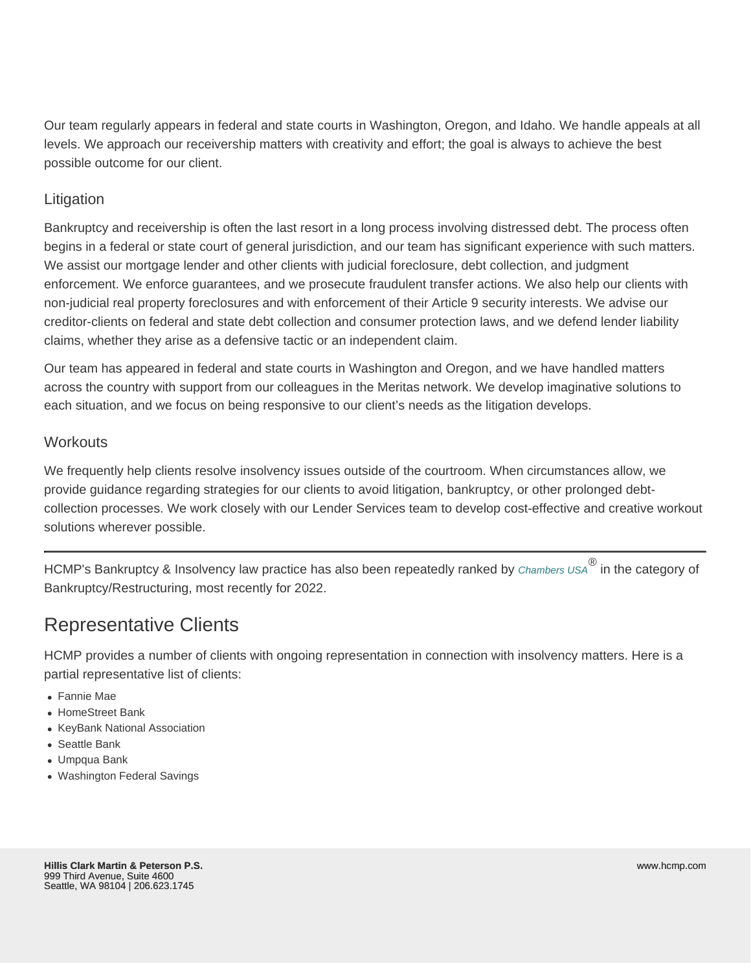Our team regularly appears in federal and state courts in Washington, Oregon, and Idaho. We handle appeals at all levels. We approach our receivership matters with creativity and effort; the goal is always to achieve the best possible outcome for our client.

# Litigation

Bankruptcy and receivership is often the last resort in a long process involving distressed debt. The process often begins in a federal or state court of general jurisdiction, and our team has significant experience with such matters. We assist our mortgage lender and other clients with judicial foreclosure, debt collection, and judgment enforcement. We enforce guarantees, and we prosecute fraudulent transfer actions. We also help our clients with non-judicial real property foreclosures and with enforcement of their Article 9 security interests. We advise our creditor-clients on federal and state debt collection and consumer protection laws, and we defend lender liability claims, whether they arise as a defensive tactic or an independent claim.

Our team has appeared in federal and state courts in Washington and Oregon, and we have handled matters across the country with support from our colleagues in the Meritas network. We develop imaginative solutions to each situation, and we focus on being responsive to our client's needs as the litigation develops.

### **Workouts**

We frequently help clients resolve insolvency issues outside of the courtroom. When circumstances allow, we provide guidance regarding strategies for our clients to avoid litigation, bankruptcy, or other prolonged debtcollection processes. We work closely with our Lender Services team to develop cost-effective and creative workout solutions wherever possible.

HCMP's Bankruptcy & Insolvency law practice has also been repeatedly ranked by [Chambers USA](https://chambers.com/department/hillis-clark-martin-peterson-ps-bankruptcy-restructuring-usa-5:513:13365:1:119357)® in the category of Bankruptcy/Restructuring, most recently for 2022.

# Representative Clients

HCMP provides a number of clients with ongoing representation in connection with insolvency matters. Here is a partial representative list of clients:

- Fannie Mae
- HomeStreet Bank
- KeyBank National Association
- Seattle Bank
- Umpqua Bank
- Washington Federal Savings